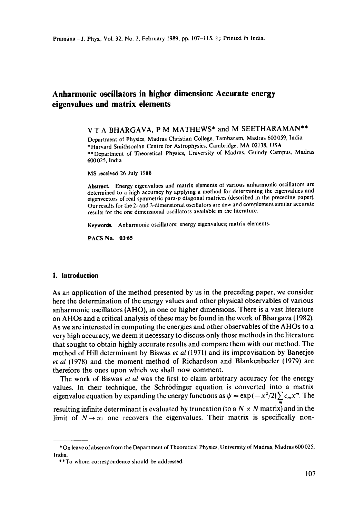# **Anharmonic oscillators in higher dimension: Accurate energy eigenvalues and matrix elements**

V T A BHARGAVA, P M MATHEWS\* and M SEETHARAMAN\*\*

Department of Physics, Madras Christian College, Tambaram, Madras 600059, India \* Harvard Smithsonian Centre for Astrophysics, Cambridge, MA 02138, USA \*\*Department of Theoretical Physics, University of Madras, Guindy Campus, Madras 600025, India

MS received 26 July 1988

**Abstract.** Energy eigenvalues and matrix elements of various anharmonic oscillators are determined to a high accuracy by applying a method for determining the eigenvalues and eigenvectors of real symmetric para-p diagonal matrices (described in the preceding paper). Our results for the 2- and 3-dimensional oscillators are new and complement similar accurate results for the one dimensional oscillators available in the literature.

**Keywords.** Anharmonic oscillators; energy eigenvalues; matrix elements.

PACS No. **03-65** 

## **1. Introduction**

As an application of the method presented by us in the preceding paper, we consider here the determination of the energy values and other physical observables of various anharmonic oscillators (AHO), in one or higher dimensions. There is a vast literature on AHOs and a critical analysis of these may be found in the work of Bhargava (1982). As we are interested in computing the energies and other observables of the AHOs to a very high accuracy, we deem it necessary to discuss only those methods in the literature that sought to obtain highly accurate results and compare them with our method. The method of Hill determinant by Biswas *et al* (1971) and its improvisation by Banerjee *et al* (1978) and the moment method of Richardson and Blankenbecler (1979) are therefore the ones upon which we shall now comment.

The work of Biswas *et al* was the first to claim arbitrary accuracy for the energy values. In their technique, the Schrödinger equation is converted into a matrix eigenvalue equation by expanding the energy functions as  $\psi = \exp (-x^2/2) \sum c_m x^m$ . The

resulting infinite determinant is evaluated by truncation (to a  $N \times N$  matrix) and in the limit of  $N \rightarrow \infty$  one recovers the eigenvalues. Their matrix is specifically non-

<sup>\*</sup> On leave of absence from the Department of Theoretical Physics, University of Madras, Madras 600025, India.

<sup>\*\*</sup>To whom correspondence should be addressed.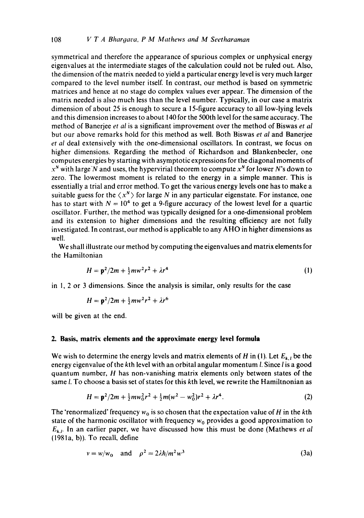symmetrical and therefore the appearance of spurious complex or unphysical energy eigenvalues at the intermediate stages of the calculation could not be ruled out. Also, the dimension of the matrix needed to yield a particular energy level is very much larger compared to the level number itself. In contrast, our method is based on symmetric matrices and hence at no stage do complex values ever appear. The dimension of the matrix needed is also much less than the level number. Typically, in our case a matrix dimension of about 25 is enough to secure a 15-figure accuracy to all low-lying levels and this dimension increases to about 140 for the 500th level for the same accuracy. The method of Banerjee *et al* is a significant improvement over the method of Biswas *et al*  but our above remarks hold for this method as well. Both Biswas *et al* and Banerjee *et al* deal extensively with the one-dimensional oscillators. In contrast, we focus on higher dimensions. Regarding the method of Richardson and Blankenbecler, one computes energies by starting with asymptotic expressions for the diagonal moments of  $x^N$  with large N and uses, the hypervirial theorem to compute  $x^N$  for lower N's down to zero. The lowermost moment is related to the energy in a simple manner. This is essentially a trial and error method. To get the various energy levels one has to make a suitable guess for the  $\langle x^N \rangle$  for large N in any particular eigenstate. For instance, one has to start with  $N = 10<sup>4</sup>$  to get a 9-figure accuracy of the lowest level for a quartic oscillator. Further, the method was typically designed for a one-dimensional problem and its extension to higher dimensions and the resulting efficiency are not fully investigated. In contrast, our method is applicable to any AHO in higher dimensions as well.

We shall illustrate our method by computing the eigenvalues and matrix elements for the Hamiltonian

$$
H = \mathbf{p}^2 / 2m + \frac{1}{2} m w^2 r^2 + \lambda r^4 \tag{1}
$$

in I, 2 or 3 dimensions. Since the analysis is similar, only results for the case

$$
H = p^2/2m + \frac{1}{2}mv^2r^2 + \lambda r^6
$$

will be given at the end.

# **2. Basis, matrix elements and the approximate energy level formula**

We wish to determine the energy levels and matrix elements of  $H$  in (1). Let  $E_{k,i}$  be the energy eigenvalue of the kth level with an orbital angular momentum *l*. Since *l* is a good quantum number, H has non-vanishing matrix elements only between states of the same *l*. To choose a basis set of states for this kth level, we rewrite the Hamiltnonian as

$$
H = \mathbf{p}^2/2m + \frac{1}{2}m\omega_0^2r^2 + \frac{1}{2}m(\omega^2 - \omega_0^2)r^2 + \lambda r^4.
$$
 (2)

The 'renormalized' frequency  $w_0$  is so chosen that the expectation value of H in the kth state of the harmonic oscillator with frequency  $w_0$  provides a good approximation to *Ek. t.* In an earlier paper, we have discussed how this must be done (Mathews *et al*  (1981a, b)). To recall, define

$$
v = w/w_0 \quad \text{and} \quad \rho^2 = 2\lambda \hbar / m^2 w^3 \tag{3a}
$$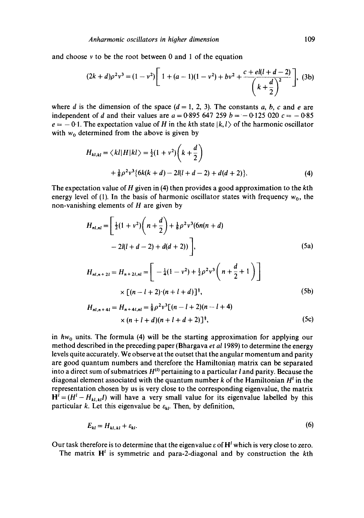and choose  $\nu$  to be the root between 0 and 1 of the equation

$$
(2k+d)\rho^2v^3 = (1-v^2)\left[1+(a-1)(1-v^2)+bv^2+\frac{c+el(l+d-2)}{\left(k+\frac{d}{2}\right)^2}\right],
$$
 (3b)

where d is the dimension of the space  $(d = 1, 2, 3)$ . The constants a, b, c and e are independent of d and their values are  $a = 0.895$  647 259  $b = -0.125$  020  $c = -0.85$  $e = -0.1$ . The expectation value of H in the kth state  $|k, l\rangle$  of the harmonic oscillator with  $w_0$  determined from the above is given by

$$
H_{kl,kl} = \langle kl|H|kl\rangle = \frac{1}{2}(1+v^2)\left(k+\frac{d}{2}\right)
$$
  
 
$$
+\frac{1}{8}\rho^2v^3\{6k(k+d)-2l(l+d-2)+d(d+2)\}.
$$
 (4)

The expectation value of H given in  $(4)$  then provides a good approximation to the kth energy level of (1). In the basis of harmonic oscillator states with frequency  $w_0$ , the non-vanishing elements of  $H$  are given by

$$
H_{nl,nl} = \left[\frac{1}{2}(1+v^2)\left(n+\frac{d}{2}\right)+\frac{1}{8}\rho^2v^3(6n(n+d) -2l(l+d-2)+d(d+2))\right],
$$
\n(5a)

$$
H_{nl,n+2l} = H_{n+2l,nl} = \left[ -\frac{1}{4}(1 - v^2) + \frac{1}{2}\rho^2 v^3 \left( n + \frac{d}{2} + 1 \right) \right]
$$
  
 
$$
\times \left[ (n - l + 2) \cdot (n + l + d) \right]^{\frac{1}{2}},
$$
 (5b)

$$
H_{nl,n+4l} = H_{n+4l,nl} = \frac{1}{8} \rho^2 v^3 [(n-l+2)(n-l+4) + (n+l+d)(n+l+d+2)]^{\frac{1}{2}},
$$
\n(5c)

in  $hw_0$  units. The formula (4) will be the starting approximation for applying our method described in the preceding paper (Bhargava *et a11989)* to determine the energy levels quite accurately. We observe at the outset that the angular momentum and parity are good quantum numbers and therefore the Hamiltonian matrix can be separated into a direct sum of submatrices  $H^{(l)}$  pertaining to a particular l and parity. Because the diagonal element associated with the quantum number  $k$  of the Hamiltonian  $H<sup>t</sup>$  in the representation chosen by us is very close to the corresponding eigenvalue, the matrix  $H^{i} = (H^{i} - H_{kl,kl}I)$  will have a very small value for its eigenvalue labelled by this particular k. Let this eigenvalue be  $\varepsilon_{kl}$ . Then, by definition,

$$
E_{kl} = H_{kl,kl} + \varepsilon_{kl}.\tag{6}
$$

Our task therefore is to determine that the eigenvalue  $\varepsilon$  of  $H^l$  which is very close to zero.

The matrix  $H^i$  is symmetric and para-2-diagonal and by construction the kth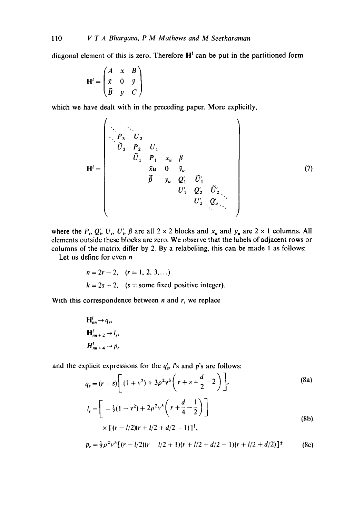diagonal element of this is zero. Therefore  $H<sup>t</sup>$  can be put in the partitioned form

$$
\mathbf{H}^{l} = \begin{pmatrix} A & x & B \\ \tilde{x} & 0 & \tilde{y} \\ \tilde{B} & y & C \end{pmatrix}
$$

which we have dealt with in the preceding paper. More explicitly,

$$
\mathbf{H}^{i} = \begin{pmatrix}\nP_3 & U_2 & & & & \\
\cdot & P_3 & U_2 & U_1 & & & \\
& \tilde{U}_1 & P_1 & x_u & \beta & & \\
& & \tilde{x}u & 0 & \tilde{y}_u & \\
& & & \tilde{\beta} & y_u & Q'_1 & \tilde{U}'_1 \\
& & & & & U'_1 & Q'_2 & \tilde{U}'_2 \\
& & & & & & U'_2 & Q'_3\n\end{pmatrix} (7)
$$

 $\ddot{\phantom{a}}$ 

where the  $P_i$ ,  $Q'_i$ ,  $U_i$ ,  $U'_i$ ,  $\beta$  are all  $2 \times 2$  blocks and  $x_u$  and  $y_u$  are  $2 \times 1$  columns. All elements outside these blocks are zero. We observe that the labels of adjacent rows or columns of the matrix differ by 2. By a relabelling, this can be made l as follows:

Let us define for even  $n$ 

$$
n = 2r - 2, \quad (r = 1, 2, 3, ...)
$$
  

$$
k = 2s - 2, \quad (s = some fixed positive integer).
$$

With this correspondence between  $n$  and  $r$ , we replace

$$
H_{nn}^{l} \rightarrow q_{r},
$$
  
\n
$$
H_{nn+2}^{l} \rightarrow l_{r},
$$
  
\n
$$
H_{nn+4}^{l} \rightarrow p_{r}
$$

and the explicit expressions for the  $q'_s$ , is and p's are follows:

$$
q_r = (r - s) \left[ (1 + v^2) + 3\rho^2 v^3 \left( r + s + \frac{d}{2} - 2 \right) \right],
$$
 (8a)

$$
l_r = \left[ -\frac{1}{2}(1 - v^2) + 2\rho^2 v^3 \left( r + \frac{d}{4} - \frac{1}{2} \right) \right]
$$
  
×  $\left[ (r - l/2)(r + l/2 + d/2 - 1) \right]^{\frac{1}{2}}$ , (8b)

$$
p_r = \frac{1}{2}\rho^2 v^3 [(r - l/2)(r - l/2 + 1)(r + l/2 + d/2 - 1)(r + l/2 + d/2)]^{\frac{1}{2}}
$$
 (8c)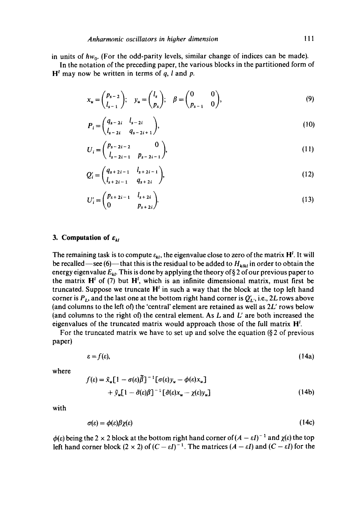in units of hw<sub>0</sub>. (For the odd-parity levels, similar change of indices can be made).

In the notation of the preceding paper, the various blocks in the partitioned form of  $H<sup>l</sup>$  may now be written in terms of q, l and p.

$$
x_u = \begin{pmatrix} p_{s-2} \\ l_{s-1} \end{pmatrix}; \quad y_u = \begin{pmatrix} l_s \\ p_s \end{pmatrix}; \quad \beta = \begin{pmatrix} 0 & 0 \\ p_{s-1} & 0 \end{pmatrix}, \tag{9}
$$

$$
P_i = \begin{pmatrix} q_{s-2i} & l_{s-2i} \\ l_{s-2i} & q_{s-2i+1} \end{pmatrix},
$$
 (10)

$$
U_i = \begin{pmatrix} p_{s-2i-2} & 0 \\ l_{s-2i-1} & p_{s-2i-1} \end{pmatrix},
$$
 (11)

$$
Q'_{i} = \begin{pmatrix} q_{s+2i-1} & l_{s+2i-1} \\ l_{s+2i-1} & q_{s+2i} \end{pmatrix},
$$
 (12)

$$
U'_{i} = \begin{pmatrix} p_{s+2i-1} & l_{s+2i} \\ 0 & p_{s+2i} \end{pmatrix}.
$$
 (13)

#### **3. Computation of**  $\varepsilon_{kl}$

The remaining task is to compute  $\varepsilon_{kl}$ , the eigenvalue close to zero of the matrix H<sup>t</sup>. It will be recalled—see (6)—that this is the residual to be added to  $H_{klk}$  in order to obtain the energy eigenvalue  $E_{kl}$ . This is done by applying the theory of § 2 of our previous paper to the matrix  $H^i$  of (7) but  $H^i$ , which is an infinite dimensional matrix, must first be truncated. Suppose we truncate  $H^l$  in such a way that the block at the top left hand corner is  $P_L$ , and the last one at the bottom right hand corner is  $Q'_L$ , i.e., 2L rows above (and columns to the left of) the 'central' element are retained as well as 2L' rows below (and columns to the right of) the central element. As  $L$  and  $L'$  are both increased the eigenvalues of the truncated matrix would approach those of the full matrix  $H<sup>1</sup>$ .

For the truncated matrix we have to set up and solve the equation  $(\S 2 \text{ of previous})$ paper)

$$
\varepsilon = f(\varepsilon),\tag{14a}
$$

where

$$
f(\varepsilon) = \tilde{x}_u [1 - \sigma(\varepsilon)\bar{\beta}]^{-1} [\sigma(\varepsilon)y_u - \phi(\varepsilon)x_u]
$$
  
+  $\tilde{y}_u [1 - \tilde{\sigma}(\varepsilon)\beta]^{-1} [\tilde{\sigma}(\varepsilon)x_u - \chi(\varepsilon)y_u]$  (14b)

with

$$
\sigma(\varepsilon) = \phi(\varepsilon)\beta\chi(\varepsilon) \tag{14c}
$$

 $\phi(\varepsilon)$  being the 2 x 2 block at the bottom right hand corner of  $(A - \varepsilon I)^{-1}$  and  $\chi(\varepsilon)$  the top left hand corner block  $(2 \times 2)$  of  $(C - \varepsilon I)^{-1}$ . The matrices  $(A - \varepsilon I)$  and  $(C - \varepsilon I)$  for the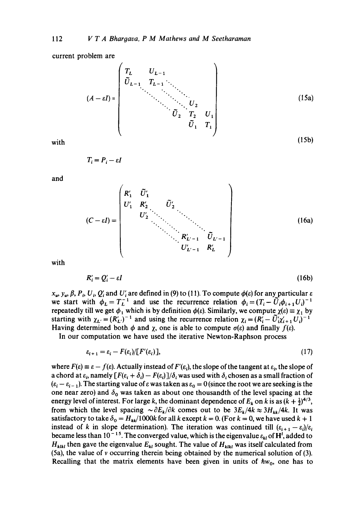current problem are

$$
(A - \varepsilon I) = \begin{pmatrix} T_L & U_{L-1} & & & & \\ \tilde{U}_{L-1} & T_{L-1} & \ddots & & & \\ & \ddots & \ddots & \ddots & \ddots & \ddots & \\ & & \ddots & \ddots & \ddots & \ddots & \\ & & & \tilde{U}_2 & T_2 & U_1 \\ & & & & \tilde{U}_1 & T_1 \end{pmatrix}
$$
 (15a)  
with (15b)

$$
T_i = P_i - \varepsilon I
$$

and

$$
(C - \varepsilon I) = \begin{pmatrix} R_1' & \tilde{U}_1' & & & \\ U_1' & R_2' & \tilde{U}_2' & & \\ & U_2' & \ddots & \ddots & \ddots & \\ & & \ddots & \ddots & \ddots & \\ & & & \ddots & \ddots & \\ & & & & & \ddots & \\ & & & & & & \ddots \end{pmatrix}
$$
 (16a)

with

$$
R_i' = Q_i' - \varepsilon I \tag{16b}
$$

 $x_{u}$ ,  $y_{u}$ ,  $\beta$ ,  $P_{i}$ ,  $U_{i}$ ,  $Q'_{i}$  and  $U'_{i}$  are defined in (9) to (11). To compute  $\phi(\varepsilon)$  for any particular  $\varepsilon$ we start with  $\phi_L = T_L^{-1}$  and use the recurrence relation  $\phi_i = (T_i - \tilde{U}_i \phi_{i+1} U_i)^{-1}$ repeatedly till we get  $\phi_1^-$  which is by definition  $\phi(\varepsilon)$ . Similarly, we compute  $\chi(\varepsilon) = \chi_1$  by starting with  $\chi_L = (R'_L)^{-1}$  and using the recurrence relation  $\chi_i = (R'_i - \tilde{U}'_i \chi'_{i+1} U_i)^{-1}$ Having determined both  $\phi$  and  $\chi$ , one is able to compute  $\sigma(\varepsilon)$  and finally  $f(\varepsilon)$ .

In our computation we have used the iterative Newton-Raphson process

$$
\varepsilon_{i+1} = \varepsilon_i - F(\varepsilon_i) / [F'(\varepsilon_i)], \qquad (17)
$$

where  $F(\varepsilon) \equiv \varepsilon - f(\varepsilon)$ . Actually instead of  $F'(\varepsilon)$ , the slope of the tangent at  $\varepsilon$ , the slope of a chord at  $\varepsilon_i$ , namely  $[F(\varepsilon_i + \delta_i) - F(\varepsilon_i)]/\delta_i$  was used with  $\delta_i$  chosen as a small fraction of  $(\varepsilon_i - \varepsilon_{i-1})$ . The starting value of  $\varepsilon$  was taken as  $\varepsilon_0 = 0$  (since the root we are seeking is the one near zero) and  $\delta_0$  was taken as about one thousandth of the level spacing at the energy level of interest. For large k, the dominant dependence of  $E_k$  on k is as  $(k + \frac{1}{2})^{4/3}$ , from which the level spacing  $\sim \partial E_k/\partial k$  comes out to be  $3E_k/4k \approx 3H_{kk}/4k$ . It was satisfactory to take  $\delta_0 = H_{kk}/1000k$  for all k except  $k = 0$ . (For  $k = 0$ , we have used  $k + 1$ instead of k in slope determination). The iteration was continued till  $(\varepsilon_{i+1} - \varepsilon_i)/\varepsilon_i$ became less than 10<sup>-15</sup>. The converged value, which is the eigenvalue  $\varepsilon_{kl}$  of H<sup>*i*</sup>, added to  $H_{kikl}$  then gave the eigenvalue  $E_{ki}$  sought. The value of  $H_{kikl}$  was itself calculated from (5a), the value of v occurring therein being obtained by the numerical solution of (3). Recalling that the matrix elements have been given in units of  $hw_0$ , one has to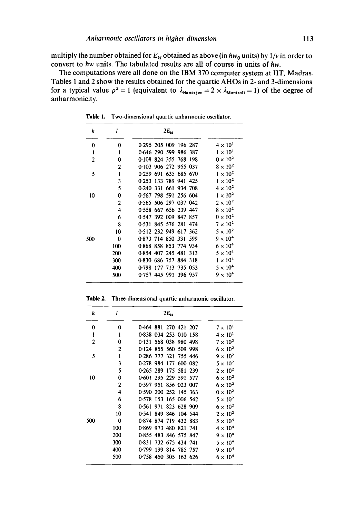multiply the number obtained for  $E_{kl}$  obtained as above (in  $\hbar w_0$  units) by  $1/v$  in order to convert to *hw* units. The tabulated results are all of course in units of *hw.* 

The computations were all done on the IBM 370 computer system at IIT, Madras. Tables 1 and 2 show the results obtained for the quartic AHOs in 2- and 3-dimensions for a typical value  $\rho^2 = 1$  (equivalent to  $\lambda_{\text{Banerjee}} = 2 \times \lambda_{\text{Montroll}} = 1$ ) of the degree of anharmonicity.

| k   | l              | $2E_{kl}$                |                 |
|-----|----------------|--------------------------|-----------------|
| 0   | 0              | 0.295 205 009 196 287    | $4\times10^{1}$ |
| 1   | $\mathbf{1}$   | 0.646 290 599 986 387    | $1 \times 10^1$ |
| 2   | 0              | 0.108 824 355 768 198    | $0 \times 10^2$ |
|     | 2              | 0.103 906 272 955 037    | $8 \times 10^2$ |
| 5   | 1              | 0.259 691 635 685 670    | $1 \times 10^2$ |
|     | 3              | 0.253 133 789 941 425    | $1 \times 10^2$ |
|     | 5              | 0.240 331 661 934 708    | $4 \times 10^2$ |
| 10  | 0              | 0.567 798 591 256 604    | $1 \times 10^2$ |
|     | $\overline{c}$ | 0.565 506 297 037 042    | $2 \times 10^2$ |
|     | 4              | 0.558 667 656 239 447    | $8 \times 10^2$ |
|     | 6              | 0.547 392 009 847 857    | $0 \times 10^2$ |
|     | 8              | 0.531 845 576 281 474    | $7 \times 10^2$ |
|     | 10             | 0512 232 949 617 362     | $5 \times 10^2$ |
| 500 | 0              | 0.873 714 850 331 599    | $9 \times 10^4$ |
|     | 100            | 0.868 858 853 774 934    | $6 \times 10^4$ |
|     | 200            | 0.854 407 245 481 313    | $5\times10^4$   |
|     | 300            | 0.830 686 757 884 318    | $1 \times 10^4$ |
|     | 400            | 177 713 735 053<br>0.798 | $5 \times 10^4$ |
|     | 500            | 0.757 445 991 396 957    | $9 \times 10^4$ |

Table 1. Two-dimensional quartic anharmonic oscillator.

| k              | I              | $2E_{\rm H}$                |                   |
|----------------|----------------|-----------------------------|-------------------|
| 0              | 0              | 0.464 881 270 421 207       | $7 \times 10^{1}$ |
| 1              | 1              | 0.838 034 253 010 158       | $4 \times 10^{1}$ |
| $\overline{2}$ | 0              | 0.131 568 038 980 498       | $7 \times 10^2$   |
|                | 2              | 0.124 855 560 509 998       | $6 \times 10^2$   |
| 5              | 1              | 0.286 777 321 755 446       | $9 \times 10^2$   |
|                | 3              | 0.278 984 177 600 082       | $5 \times 10^2$   |
|                | 5              | 0.265 289<br>175 581 239    | $2 \times 10^2$   |
| 10             | 0              | 0.601 295 229 591 577       | $6 \times 10^2$   |
|                | $\overline{2}$ | 951 856 023 007<br>0.597    | $6 \times 10^2$   |
|                | 4              | 0.590 200 252 145 363       | $0 \times 10^2$   |
|                | 6              | 0.578<br>153<br>165 006 542 | $5 \times 10^2$   |
|                | 8              | 823 628 909<br>0.561<br>971 | $6 \times 10^{2}$ |
|                | 10             | 849<br>0.541<br>846 104 544 | $2 \times 10^2$   |
| 500            | 0              | 0.874 874 719 432 883       | $5 \times 10^4$   |
|                | 100            | 0.869 973 480 821 741       | $4 \times 10^4$   |
|                | 200            | 0855 483 846 575 847        | $9 \times 10^4$   |
|                | 300            | 732 675 434 741<br>0.831    | $5 \times 10^4$   |
|                | 400            | 0.799<br>199<br>814 785 757 | $9 \times 10^4$   |
|                | 500            | 0.758 450 305 163 626       | $6 \times 10^4$   |

Table 2. Three-dimensional quartic anharmonic oscillator.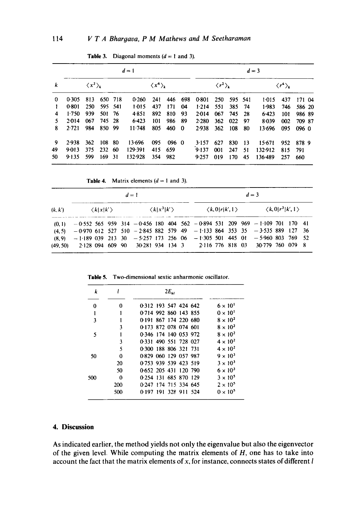|    | $d=1$     |                             |         |         |         |                         |       |     |       |                               |     | $d=3$   |         |                              |        |
|----|-----------|-----------------------------|---------|---------|---------|-------------------------|-------|-----|-------|-------------------------------|-----|---------|---------|------------------------------|--------|
| k  |           | $\langle x^2 \rangle_{\nu}$ |         |         |         | $\langle x^4 \rangle_k$ |       |     |       | $\langle r^2 \rangle_{\rm k}$ |     |         |         | $\langle r^4\rangle_{\bf k}$ |        |
| 0  | 0.305     | 813                         | 650 718 |         | 0.260   | 241                     | 446   | 698 | 0.801 | 250                           |     | 595 541 | $1-015$ | 437                          | 171 04 |
|    | 0.801     | 250                         |         | 595 541 | 1.015   | 437                     | 171   | 04  | 1.214 | 551                           | 385 | -74     | $1-983$ | 746                          | 586 20 |
| 4  | 1.750     | 939                         | 501 76  |         | 4.851   | 892                     | 810   | 93  | 2.014 | 067                           | 745 | -28     | 6.423   | 101                          | 986 89 |
| 5  | 2.014     | 067                         | 745 28  |         | 6.423   | 101                     | 986   | -89 | 2.280 | 362                           | 022 | 97      | 8.039   | 002                          | 709 87 |
| 8  | 2.721     | 984                         | 850 99  |         | 11.748  | 805                     | 460   | - 0 | 2.938 | 362                           | 108 | 80      | 13.696  | 095                          | 096 0  |
| 9  | 2.938     | 362                         | 108 80  |         | 13.696  | 095                     | 096 0 |     | 3.157 | 627                           | 830 | 13      | 15.671  | 952                          | 8789   |
| 49 | 9.013     | 375                         | 232 60  |         | 129.391 | 415                     | 659   |     | 9.137 | 001                           | 247 | 51      | 132.912 | 815                          | 791    |
| 50 | $9 - 135$ | 599                         | 169.    | -31     | 132.928 | 354                     | 982   |     | 9.257 | 019                           | 170 | 45      | 136.489 | 257                          | 660    |

**Table 3.** Diagonal moments  $(d = 1 \text{ and } 3)$ .

**Table 4.** Matrix elements  $(d = 1 \text{ and } 3)$ .

|         | $d=1$                                                                                |  |  |  |  |  |                           | $d=3$ |  |  |  |  |                                                           |  |  |  |
|---------|--------------------------------------------------------------------------------------|--|--|--|--|--|---------------------------|-------|--|--|--|--|-----------------------------------------------------------|--|--|--|
| (k, k') | $\langle k x k'\rangle$                                                              |  |  |  |  |  | $\langle k x^3 k'\rangle$ |       |  |  |  |  | $\langle k,0 r k',1\rangle$ $\langle k,0 r^3 k',1\rangle$ |  |  |  |
|         | $(0,1)$ -0.552 565 959 314 -0.456 180 404 562 -0.894 531 209 969 -1.109 701 170 41   |  |  |  |  |  |                           |       |  |  |  |  |                                                           |  |  |  |
|         | $(4.5)$ - 0.970 612 527 510 - 2.845 882 579 49 - 1.133 864 353 35 - 3.535 889 127 36 |  |  |  |  |  |                           |       |  |  |  |  |                                                           |  |  |  |
| (8, 9)  | $-1.189$ 039 213 30 $-5.257$ 173 256 06 $-1.305$ 501 445 01 $-5.960$ 803 769 52      |  |  |  |  |  |                           |       |  |  |  |  |                                                           |  |  |  |
|         | (49.50) 2.128 094 609 90 30.281 934 134 3 2.116 776 818 03 30.779 760 079 8          |  |  |  |  |  |                           |       |  |  |  |  |                                                           |  |  |  |

| k   |     | $2E_{\nu}$            |                   |
|-----|-----|-----------------------|-------------------|
| 0   | 0   | 0.312 193 547 424 642 | $6 \times 10^{1}$ |
|     |     | 0.714 992 860 143 855 | $0 \times 10^{1}$ |
| 3   |     | 0.191 867 174 220 680 | $8 \times 10^2$   |
|     | ٦   | 0.173 872 078 074 601 | $8 \times 10^2$   |
| 5   |     | 0.346 174 140 053 972 | $8 \times 10^{2}$ |
|     | 3   | 0.331 490 551 728 027 | $4 \times 10^2$   |
|     | 5   | 0.300 188 806 321 731 | $4 \times 10^{2}$ |
| 50  | 0   | 0.829 060 129 057 987 | $9 \times 10^3$   |
|     | 20  | 0.753 939 539 423 519 | $3 \times 10^3$   |
|     | 50  | 0.652 205 431 120 790 | $6 \times 10^3$   |
| 500 | 0   | 0.254 131 685 870 129 | $3 \times 10^5$   |
|     | 200 | 0.247 174 715 334 645 | $2 \times 10^5$   |
|     | 500 | 0-197 191 328 911 524 | $0 \times 10^5$   |

Table 5. **Two-dimensional sextic anharmonic oscillator.** 

# **4. Discussion**

**As indicated earlier, the method yields not only the eigenvalue but also the eigenvector of the given level. While computing the matrix elements of H, one has to take into account the fact that the matrix elements of x, for instance, connects states of different I**